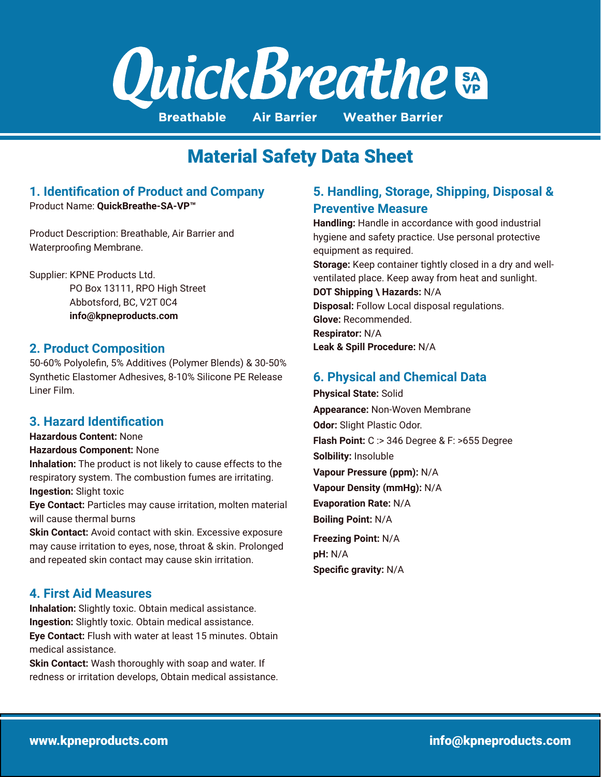

# Material Safety Data Sheet

# **1. Identification of Product and Company**

Product Name: **QuickBreathe-SA-VP™**

Product Description: Breathable, Air Barrier and Waterproofing Membrane.

Supplier: KPNE Products Ltd. PO Box 13111, RPO High Street Abbotsford, BC, V2T 0C4 **info@kpneproducts.com**

### **2. Product Composition**

50-60% Polyolefin, 5% Additives (Polymer Blends) & 30-50% Synthetic Elastomer Adhesives, 8-10% Silicone PE Release Liner Film.

## **3. Hazard Identification**

**Hazardous Content:** None

**Hazardous Component:** None

**Inhalation:** The product is not likely to cause effects to the respiratory system. The combustion fumes are irritating. **Ingestion:** Slight toxic

**Eye Contact:** Particles may cause irritation, molten material will cause thermal burns

**Skin Contact:** Avoid contact with skin. Excessive exposure may cause irritation to eyes, nose, throat & skin. Prolonged and repeated skin contact may cause skin irritation.

### **4. First Aid Measures**

**Inhalation:** Slightly toxic. Obtain medical assistance. **Ingestion:** Slightly toxic. Obtain medical assistance. **Eye Contact:** Flush with water at least 15 minutes. Obtain medical assistance.

**Skin Contact:** Wash thoroughly with soap and water. If redness or irritation develops, Obtain medical assistance.

# **5. Handling, Storage, Shipping, Disposal & Preventive Measure**

**Handling:** Handle in accordance with good industrial hygiene and safety practice. Use personal protective equipment as required. **Storage:** Keep container tightly closed in a dry and wellventilated place. Keep away from heat and sunlight. **DOT Shipping \ Hazards:** N/A **Disposal:** Follow Local disposal regulations. **Glove:** Recommended. **Respirator:** N/A **Leak & Spill Procedure:** N/A

# **6. Physical and Chemical Data**

**Physical State:** Solid **Appearance:** Non-Woven Membrane **Odor:** Slight Plastic Odor. **Flash Point:** C :> 346 Degree & F: >655 Degree **Solbility:** Insoluble **Vapour Pressure (ppm):** N/A **Vapour Density (mmHg):** N/A **Evaporation Rate:** N/A **Boiling Point:** N/A

**Freezing Point:** N/A **pH:** N/A **Specific gravity:** N/A